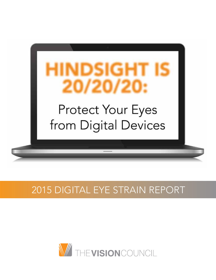

# 2015 digital eye strain report

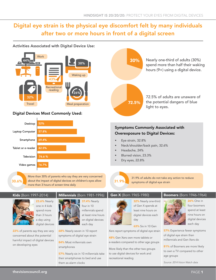# Digital eye strain is the physical eye discomfort felt by many individuals after two or more hours in front of a digital screen



#### **Work** 30% Nearly one-third of adults (30%) 44% 38% spend more than half their waking hours (9+) using a digital device. Waking up 43% Recreational reading 26% 72.5% of adults are unaware of 32% the potential dangers of blue 72.5% Travel **Meal** preparation light to eyes. Digital Devices Most Commonly Used: Desktop 52% Symptoms Commonly Associated with Laptop Computer 57.8% Overexposure to Digital Devices: 69.4% Smartphone Eye strain, 32.8% Neck/shoulder/back pain, 32.6% 42.5% Tablet or e-reader Headache, 24% Blurred vision, 23.3% 76.6% Television Dry eyes, 22.8% Video games 16.7% More than 30% of parents who say they are very concerned 31.9% of adults do not take any action to reduce  $\bf 30.6\%$  about the impact of digital devices on children's eyes allow  $\bf 31.9\%$ symptoms of digital eye strain more than 3 hours of screen time daily Kids (Born 1997-2014) Millennials (Born 1981-1996) Gen X (Born 1965-1980) Boomers (Born 1946-1964) **26% One in 23.6% Nearly 37.4% Nearly** 32% Nearly one-third one in 4 kids four in 10 of Gen X spends at least nine hours on



spend more than 3 hours a day using digital devices

22% of parents say they are very concerned about the potential harmful impact of digital devices on developing eyes

millennials spend at least nine hours on digital devices each day

68% Nearly seven in 10 report symptoms of digital eye strain

84% Most millennials own smartphones

57% Nearly six in 10 millennials take their smartphones to bed and use them as alarm clocks

digital devices each day

63% Six in 10 Gen

Xers report symptoms of digital eye strain

48% Gen Xers own more tablets or e-readers compared to other age groups

More likely than the other two groups to use digital devices for work and recreational reading



four boomers spend at least nine hours on digital devices each day

**57%** Experience fewer symptoms of digital eye strain than millennials and Gen Xers do

81% of Boomers are more likely to own a TV compared to other age groups

*Source: 2014 Vision Watch data*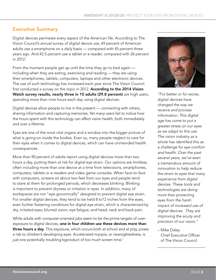# Executive Summary

Digital devices permeate every aspect of the American life. According to The Vision Council's annual survey of digital device use, 69 percent of American adults use a smartphone on a daily basis — compared with 45 percent three years ago. And 42.5 percent use a tablet or e-reader, compared with 26 percent in 2012.i

From the moment people get up until the time they go to bed again including when they are eating, exercising and reading — they are using their smartphones, tablets, computers, laptops and other electronic devices. The use of such technology has increased each year since The Vision Council first conducted a survey on the topic in 2012. According to the 2014 Vision Watch survey results, nearly three in 10 adults (29.8 percent) are high users, spending more than nine hours each day using digital devices.

Digital devices allow people to live in the present — connecting with others, sharing information and capturing memories. Yet many users fail to notice how the hours spent with this technology can affect vision health, both immediately and over a lifetime.

Eyes are one of the most vital organs and a window into the bigger picture of what is going on inside the bodies. Even so, many people neglect to care for their eyes when it comes to digital devices, which can have unintended health consequences.

More than 90 percent of adults report using digital devices more than two hours a day, putting them at risk for digital eye strain. Our options are limitless, often including more than one device at a time from televisions, smartphones, computers, tablets or e-readers and video game consoles. When face-to-face with computers, screens sit about two feet from our eyes and people tend to stare at them for prolonged periods, which decreases blinking. Blinking is important to prevent dryness or irritation in eyes. In addition, many of workspaces are not "eye-gonomically" designed to prevent digital eye strain. For smaller digital devices, they tend to be held 8 to12 inches from the eyes, even further fostering conditions for digital eye strain, which is characterized by dry, irritated eyes; blurred vision; eye fatigue; and head, neck and back pain.

While adults with computer-oriented jobs seem to be the prime targets of overexposure to digital devices, one in four children use these devices more than three hours a day. This exposure, which occurs both at school and at play, poses a risk to children's developing eyes. Accelerated myopia, or nearsightedness, is just one potentially troubling byproduct of too much screen time.<sup>ii</sup>



*"For better or for worse, digital devices have changed the way we receive and process information. This digital age has come to put a greater stress on our eyes as we adapt to this use. The vision industry as a*  whole has identified this as *a challenge for eye comfort and health. Over the past several years, we've seen a tremendous amount of innovation to help reduce the strain to eyes that many experience from digital devices. These tools and technologies are doing more than protecting eyes from the harsh impact of increased use of digital devices. They are improving the acuity and precision of our vision."*

– Mike Daley Chief Executive Officer of The Vision Council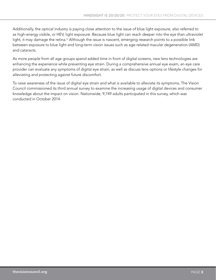Additionally, the optical industry is paying close attention to the issue of blue light exposure, also referred to as high-energy visible, or HEV, light exposure. Because blue light can reach deeper into the eye than ultraviolet light, it may damage the retina.<sup>iii</sup> Although the issue is nascent, emerging research points to a possible link between exposure to blue light and long-term vision issues such as age-related macular degeneration (AMD) and cataracts.

As more people from all age groups spend added time in front of digital screens, new lens technologies are enhancing the experience while preventing eye strain. During a comprehensive annual eye exam, an eye care provider can evaluate any symptoms of digital eye strain, as well as discuss lens options or lifestyle changes for alleviating and protecting against future discomfort.

To raise awareness of the issue of digital eye strain and what is available to alleviate its symptoms, The Vision Council commissioned its third annual survey to examine the increasing usage of digital devices and consumer knowledge about the impact on vision. Nationwide, 9,749 adults participated in this survey, which was conducted in October 2014.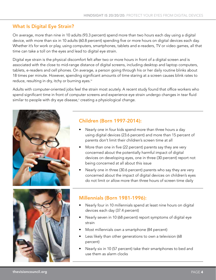# What Is Digital Eye Strain?

On average, more than nine in 10 adults (93.3 percent) spend more than two hours each day using a digital device, with more than six in 10 adults (60.8 percent) spending five or more hours on digital devices each day. Whether it's for work or play, using computers, smartphones, tablets and e-readers, TV or video games, all that time can take a toll on the eyes and lead to digital eye strain.

Digital eye strain is the physical discomfort felt after two or more hours in front of a digital screen and is associated with the close to mid-range distance of digital screens, including desktop and laptop computers, tablets, e-readers and cell phones. On average, a person going through his or her daily routine blinks about 18 times per minute. However, spending significant amounts of time staring at a screen causes blink rates to reduce, resulting in dry, itchy or burning eyes.<sup>iv</sup>

Adults with computer-oriented jobs feel the strain most acutely. A recent study found that office workers who spend significant time in front of computer screens and experience eye strain undergo changes in tear fluid similar to people with dry eye disease, $^{\text{v}}$  creating a physiological change.



# Children (Born 1997-2014):

- Nearly one in four kids spend more than three hours a day using digital devices (23.6 percent) and more than 15 percent of parents don't limit their children's screen time at all
- More than one in five (22 percent) parents say they are very concerned about the potentially harmful impact of digital devices on developing eyes, one in three (30 percent) report not being concerned at all about this issue
- Nearly one in three (30.6 percent) parents who say they are very concerned about the impact of digital devices on children's eyes do not limit or allow more than three hours of screen time daily



# Millennials (Born 1981-1996):

- Nearly four in 10 millennials spend at least nine hours on digital devices each day (37.4 percent)
- Nearly seven in 10 (68 percent) report symptoms of digital eye strain
- Most millennials own a smartphone (84 percent)
- Less likely than other generations to own a television (68 percent)
- Nearly six in 10 (57 percent) take their smartphones to bed and use them as alarm clocks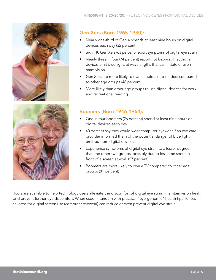

# Gen Xers (Born 1965-1980):

- Nearly one-third of Gen X spends at least nine hours on digital devices each day (32 percent)
- Six in 10 Gen Xers (63 percent) report symptoms of digital eye strain
- Nearly three in four (74 percent) report not knowing that digital devices emit blue light, at wavelengths that can irritate or even harm vision
- Gen Xers are more likely to own a tablets or e-readers compared to other age groups (48 percent)
- More likely than other age groups to use digital devices for work and recreational reading



# Boomers (Born 1946-1964):

- One in four boomers (26 percent) spend at least nine hours on digital devices each day
- 40 percent say they would wear computer eyewear if an eye care provider informed them of the potential danger of blue light emitted from digital devices
- Experience symptoms of digital eye strain to a lesser degree than the other two groups, possibly due to less time spent in front of a screen at work (57 percent)
- Boomers are more likely to own a TV compared to other age groups (81 percent)

Tools are available to help technology users alleviate the discomfort of digital eye strain, maintain vision health and prevent further eye discomfort. When used in tandem with practical "eye-gonomic" health tips, lenses tailored for digital screen use (computer eyewear) can reduce or even prevent digital eye strain.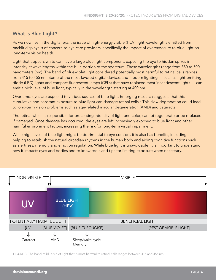# What is Blue Light?

As we now live in the digital era, the issue of high-energy visible (HEV) light wavelengths emitted from backlit displays is of concern to eye care providers, specifically the impact of overexposure to blue light on long-term vision health.

Light that appears white can have a large blue light component, exposing the eye to hidden spikes in intensity at wavelengths within the blue portion of the spectrum. These wavelengths range from 380 to 500 nanometers (nm). The band of blue-violet light considered potentially most harmful to retinal cells ranges from 415 to 455 nm. Some of the most favored digital devices and modern lighting — such as light-emitting diode (LED) lights and compact fluorescent lamps (CFLs) that have replaced most incandescent lights — can emit a high level of blue light, typically in the wavelength starting at 400 nm.

Over time, eyes are exposed to various sources of blue light. Emerging research suggests that this cumulative and constant exposure to blue light can damage retinal cells.<sup>vi</sup> This slow degradation could lead to long-term vision problems such as age-related macular degeneration (AMD) and cataracts.

The retina, which is responsible for processing intensity of light and color, cannot regenerate or be replaced if damaged. Once damage has occurred, the eyes are left increasingly exposed to blue light and other harmful environment factors, increasing the risk for long-term visual impairment.

While high levels of blue light might be detrimental to eye comfort, it is also has benefits, including helping to establish the natural circadian rhythms in the human body and aiding cognitive functions such as alertness, memory and emotion regulation. While blue light is unavoidable, it is important to understand how it impacts eyes and bodies and to know tools and tips for limiting exposure when necessary.



FIGURE 3: The band of blue-violet light that is most harmful to retinal cells ranges between 415 and 455 nm.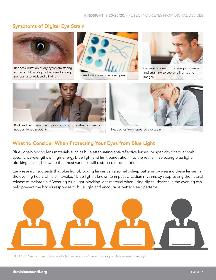# Symptoms of Digital Eye Strain



Redness, irritation or dry eyes from staring at the bright backlight of screens for long periods; also, reduced blinking



Blurred vision due to screen glare and stream images



General fatigue from staring at screens and straining to see small fonts and



Back and neck pain due to poor body posture when a screen is not positioned properly **headaches from repeated eye strain** 



# What to Consider When Protecting Your Eyes from Blue Light

Blue light-blocking lens materials such as blue attenuating anti-reflective lenses, or specialty filters, absorb specific wavelengths of high-energy blue light and limit penetration into the retina. If selecting blue lightblocking lenses, be aware that most varieties will distort color perception.

Early research suggests that blue light-blocking lenses can also help sleep patterns by wearing these lenses in the evening hours while still awake.vii Blue light is known to impact circadian rhythms by suppressing the natural release of melatonin.<sup>viii</sup> Wearing blue light-blocking lens material when using digital devices in the evening can help prevent the body's responses to blue light and encourage better sleep patterns.



FIGURE 2: Nearly three in four adults (72 percent) don't know that digital devices emit blue light.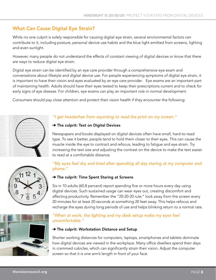# What Can Cause Digital Eye Strain?

While no one culprit is solely responsible for causing digital eye strain, several environmental factors can contribute to it, including posture, personal device use habits and the blue light emitted from screens, lighting and even sunlight.

However, many people do not understand the effects of constant viewing of digital devices or know that there are ways to reduce digital eye strain.

Digital eye strain can be identified by an eye care provider through a comprehensive eye exam and conversations about lifestyle and digital device use. For people experiencing symptoms of digital eye strain, it is important to have their vision and eyes evaluated by an eye care provider. Eye exams are an important part of maintaining health. Adults should have their eyes tested to keep their prescriptions current and to check for early signs of eye disease. For children, eye exams can play an important role in normal development.

Consumers should pay close attention and protect their vision health if they encounter the following:





#### → The culprit: Text on Digital Devices

Newspapers and books displayed on digital devices often have small, hard-to-read type. To see it better, people tend to hold them closer to their eyes. This can cause the muscle inside the eye to contract and refocus, leading to fatigue and eye strain. Try increasing the text size and adjusting the contrast on the device to make the text easier to read at a comfortable distance.







# *"My eyes feel dry and tired after spending all day staring at my computer and phone."*

### → The culprit: Time Spent Staring at Screens

Six in 10 adults (60.8 percent) report spending five or more hours every day using digital devices. Such sustained usage can wear eyes out, creating discomfort and affecting productivity. Remember the "20-20-20 rule:" look away from the screen every 20 minutes for at least 20 seconds at something 20 feet away. This helps refocus and recharge the eyes during long periods of use and helps blinking return to a normal rate.

### *"When at work, the lighting and my desk setup make my eyes feel uncomfortable."*

#### → The culprit: Workstation Distance and Setup

Shorter working distances for computers, laptops, smartphones and tablets dominate how digital devices are viewed in the workplace. Many office dwellers spend their days in crammed cubicles, which can significantly strain their vision. Adjust the computer screen so that it is one arm's length in front of your face.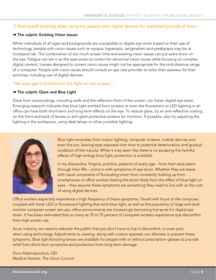### "I find myself straining when using my glasses with digital devices for sustained periods of time."

#### → The culprit: Existing Vision Issues

While individuals of all ages and backgrounds are susceptible to digital eye strain based on their use of technology, people with vision issues such as myopia, hyperopia, astigmatism and presbyopia may be at increased risk. The combination of too much screen time and existing vision issues can put extra strain on the eye. Fatigue can set in as the eyes strain to correct for abnormal vision issues while focusing on complex digital content. Lenses designed to correct vision issues might not be appropriate for the mid-distance range of a computer. People with vision issues should consult an eye care provider to tailor their eyewear for their activities, including use of digital devices.

#### *"My eyes get irritated from the light on the screen."*

#### → The culprit: Glare and Blue Light

Glare from surroundings, including walls and the reflection from of the screen, can foster digital eye strain. Emerging research indicates that blue light emitted from screens or even the fluorescent or LED lighting in an office can have both short-term and long-term effects on the eye. To reduce glare, try an anti-reflective coating on the front and back of lenses or anti-glare protective screens for monitors. If possible, also try adjusting the lighting in the workspace, using desk lamps or other portable lighting.



Blue light emanates from indoor lighting, computer screens, mobile devices and even the sun, leaving eyes exposed over time to potential deterioration and gradual oxidation of the macula. While it may seem like there is no escaping the harmful effects of high-energy blue light, protection is available.

In my Alexandria, Virginia, practice, patients of every age – from their early teens through their 40s – come in with symptoms of eye strain. Whether they are teens with visual complaints of fluctuating vision from constantly looking up from smartphones or office workers feeling the strain likely from the effect of blue light on eyes – they assume these symptoms are something they need to live with as the cost of using digital devices.

Office workers especially experience a high frequency of these symptoms. Faced with hours at the computer, coupled with harsh LED or fluorescent lighting that emit blue light, as well as the popularity of large and dualmonitor computer screen set-ups, office environments are increasingly becoming hot spots for digital eye strain. It has been estimated that as many as 70 to 75 percent of computer workers experience eye discomfort from high screen use.

As an industry, we need to educate the public that you don't have to live in discomfort, or even pain, when using technology. Adjustments to viewing, along with custom eyewear can alleviate or prevent these symptoms. Blue light-blocking lenses are available for people with or without prescription glasses to provide relief from short-term symptoms and protection from long-term damage.

Dora Adamopoulous, OD Medical Advisor, The Vision Council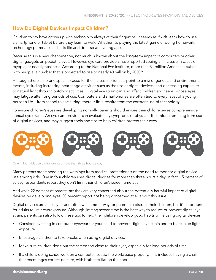# How Do Digital Devices Impact Children?

Children today have grown up with technology always at their fingertips. It seems as if kids learn how to use a smartphone or tablet before they learn to walk. Whether it's playing the latest game or doing homework, technology permeates a child's life and does so at a young age.

Because this is a new phenomenon, not much is known about the long-term impact of computers or other digital gadgets on pediatric eyes. However, eye care providers have reported seeing an increase in cases of myopia, or nearsightedness. According to the National Eye Institute, more than 34 million Americans suffer with myopia, a number that is projected to rise to nearly 40 million by 2030.<sup>ix</sup>

Although there is no one specific cause for the increase, scientists point to a mix of genetic and environmental factors, including increasing near-range activities such as the use of digital devices, and decreasing exposure to natural light through outdoor activities.<sup>x</sup> Digital eye strain can also affect children and teens, whose eyes may fatigue after long periods of use. Computers and smartphones are often tied to every facet of a young person's life—from school to socializing, there is little respite from the constant use of technology.

To ensure children's eyes are developing normally, parents should ensure their child receives comprehensive annual eye exams. An eye care provider can evaluate any symptoms or physical discomfort stemming from use of digital devices, and may suggest tools and tips to help children protect their eyes.



One in four kids use digital devices more than three hours a day

Many parents aren't heeding the warnings from medical professionals on the need to monitor digital device use among kids. One in four children uses digital devices for more than three hours a day. In fact, 15 percent of survey respondents report they don't limit their children's screen time at all.<sup>xi</sup>

And while 22 percent of parents say they are very concerned about the potentially harmful impact of digital devices on developing eyes, 30 percent report not being concerned at all about this issue.

Digital devices are an easy — and often welcome — way for parents to distract their children, but it's important for adults to limit overexposure. Although limiting screen time is the best way to reduce or prevent digital eye strain, parents can also follow these tips to help their children develop good habits while using digital devices:

- Consider investing in computer eyewear for your child to prevent digital eye strain and to block blue light exposure.
- Encourage children to take breaks when using digital devices.
- Make sure children don't put the screen too close to their eyes, especially for long periods of time.
- If a child is doing schoolwork on a computer, set up the workspace properly. This includes having a chair that encourages correct posture, with both feet flat on the floor.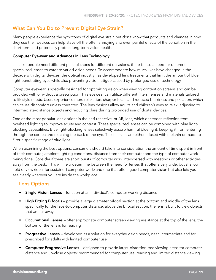# What Can You Do to Prevent Digital Eye Strain?

Many people experience the symptoms of digital eye strain but don't know that products and changes in how they use their devices can help stave off the often annoying and even painful effects of the condition in the short term and potentially protect long-term vision health.

#### Computer Eyewear and Advances in Lens Technology

Just like people need different pairs of shoes for different occasions, there is also a need for different, specialized lenses to cater to varied vision needs. To accommodate how much lives have changed in the decade with digital devices, the optical industry has developed lens treatments that limit the amount of blue light penetrating eyes while also preventing vision fatigue caused by prolonged use of technology.

Computer eyewear is specially designed for optimizing vision when viewing content on screens and can be provided with or without a prescription. This eyewear can utilize different filters, lenses and materials tailored to lifestyle needs. Users experience more relaxation, sharper focus and reduced blurriness and pixilation, which can cause discomfort unless corrected. The lens designs allow adults and children's eyes to relax, adjusting to intermediate-distance objects and reducing glare during prolonged use of digital devices.

One of the most popular lens options is the anti-reflective, or AR, lens, which decreases reflection from overhead lighting to improve acuity and contrast. These specialized lenses can be combined with blue lightblocking capabilities. Blue light-blocking lenses selectively absorb harmful blue light, keeping it from entering through the cornea and reaching the back of the eye. These lenses are either infused with melanin or made to filter a specific range of blue light.

When examining the best options, consumers should take into consideration the amount of time spent in front of their computer, ambient lighting conditions, distance from their computer and the type of computer work being done. Consider if there are short bursts of computer work interspersed with meetings or other activities away from the desk. This will help determine between the need for lenses that offer a very wide, but shallow field of view (ideal for sustained computer work) and one that offers good computer vision but also lets you see clearly wherever you are inside the workplace.

# Lens Options

- **Single Vision Lenses** function at an individual's computer working distance
- High Fitting Bifocals provide a large diameter bifocal section at the bottom and middle of the lens specifically for the face-to-computer distance; above the bifocal section, the lens is built to view objects that are far away
- Occupational Lenses offer appropriate computer screen viewing assistance at the top of the lens; the bottom of the lens is for reading
- Progressive Lenses developed as a solution for everyday vision needs, near, intermediate and far; prescribed for adults with limited computer use
- Computer Progressive Lenses designed to provide large, distortion-free viewing areas for computer distance and up-close objects; recommended for computer use, reading and limited distance viewing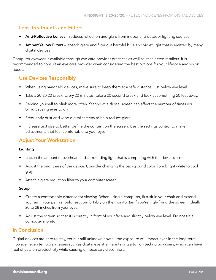# Lens Treatments and Filters

- Anti-Reflective Lenses reduces reflection and glare from indoor and outdoor lighting sources
- Amber/Yellow Filters absorb glare and filter out harmful blue and violet light that is emitted by many digital devices

Computer eyewear is available through eye care provider practices as well as at selected retailers. It is recommended to consult an eye care provider when considering the best options for your lifestyle and vision needs.

# Use Devices Responsibly

- When using handheld devices, make sure to keep them at a safe distance, just below eye level.
- Take a 20-20-20 break: Every 20 minutes, take a 20-second break and look at something 20 feet away.
- Remind yourself to blink more often. Staring at a digital screen can affect the number of times you blink, causing eyes to dry.
- Frequently dust and wipe digital screens to help reduce glare.
- Increase text size to better define the content on the screen. Use the settings control to make adjustments that feel comfortable to your eyes.

# Adjust Your Workstation

#### Lighting

- Lessen the amount of overhead and surrounding light that is competing with the device's screen.
- Adjust the brightness of the device. Consider changing the background color from bright white to cool gray.
- Attach a glare reduction filter to your computer screen.

#### Setup

- Create a comfortable distance for viewing. When using a computer, first sit in your chair and extend your arm. Your palm should rest comfortably on the monitor (as if you're high-fiving the screen), ideally 20 to 28 inches from your eyes.
- Adjust the screen so that it is directly in front of your face and slightly below eye level. Do not tilt a computer monitor.

## In Conclusion

Digital devices are here to stay, yet it is still unknown how all the exposure will impact eyes in the long term. However, even temporary issues such as digital eye strain are taking a toll on technology users, which can have real effects on productivity while causing unnecessary discomfort.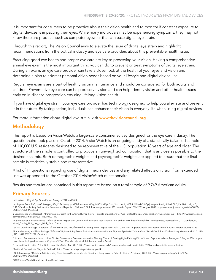It is important for consumers to be proactive about their vision health and to monitor if constant exposure to digital devices is impacting their eyes. While many individuals may be experiencing symptoms, they may not know there are products such as computer eyewear that can ease digital eye strain.

Through this report, The Vision Council aims to elevate the issue of digital eye strain and highlight recommendations from the optical industry and eye care providers about this preventable health issue.

Practicing good eye health and proper eye care are key to preserving your vision. Having a comprehensive annual eye exam is the most important thing you can do to prevent or treat symptoms of digital eye strain. During an exam, an eye care provider can take a closer look at the health of your eyes and vision and determine a plan to address personal vision needs based on your lifestyle and digital device use.

Regular eye exams are a part of healthy vision maintenance and should be considered for both adults and children. Preventative eye care can help preserve vision and can help identify vision and other health issues early on in disease progression ensuring lifelong vision health.

If you have digital eye strain, your eye care provider has technology designed to help you alleviate and prevent it in the future. By taking action, individuals can enhance their vision in everyday life when using digital devices.

For more information about digital eye strain, visit www.thevisioncouncil.org.

# Methodology

This report is based on VisionWatch, a large-scale consumer survey designed for the eye care industry. The questionnaire took place in October 2014. VisionWatch is an ongoing study of a statistically balanced sample of 110,000 U.S. residents designed to be representative of the U.S. population 18 years of age and older. The structure of the sample is controlled to produce an unweighted composition that is as close as possible to the desired final mix. Both demographic weights and psychographic weights are applied to assure that the final sample is statistically stable and representative.

A list of 11 questions regarding use of digital media devices and any related effects on vision from extended use was appended to the October 2014 VisionWatch questionnaire.

Results and tabulations contained in this report are based on a total sample of 9,749 American adults.

# Primary Sources

i VisionWatch, Digital Eye Strain Report Surveys - 2012 and 2014.

ii Kathryn A. Rose, PhD, Ian G. Morgan, BSc, PhD, Jenny Ip, MBBS, Annette Kifley, MBBS, MAppStat, Son Huynh, MBBS, MMed (ClinEpi), Wayne Smith, BMed, PhD, Paul Mitchell, MD, PhD. "Outdoor Activity Reduces the Prevalence of Myopia in Children." Ophthalmology. Volume 115, Issue 8, Pages 1279–1285, August 2008. http://www.aaojournal.org/article/S0161- 6420(07)01364-4/abstract.

iii Experimental Eye Research. "Transmission of Light to the Aging Human Retina: Possible Implications for Age Related Macular Degeneration." December 2004. http://www.sciencedirect. com/science/article/pii/S0014483504001812

iv Optometry and Vision Science. "Effect of Visual Display Unit Use on Blink Rate and Tear Stability." November 1991. http://journals.lww.com/optvissci/Abstract/1991/11000/Effect\_of\_ Visual\_Display\_Unit\_Use\_on\_Blink\_Rate.10.aspx

v JAMA Ophthalmology. "Alteration of Tear Mucin 5AC in Office Workers Using Visual Display Terminals." June 2014. http://archopht.jamanetwork.com/article.aspx?articleid=1878735

vi Photochemistry and Photobiology. "Effects of Light-emitting Diode Radiations on Human Retinal Pigment Epithelial Cells In Vitro." March 2013. http://onlinelibrary.wiley.com/doi/10.1111/ j.1751-1097.2012.01237.x/abstract

vii Journal of Adolescent Health. "Blue Blocker Glasses as a Countermeasure for Alerting Effects of Evening Light-Emitting Diode Screen Exposure in Male Teenagers." August 2014. http:// www.chronobiology.ch/wp-content/uploads/2014/10/vanderLely\_et\_al\_Adolescent\_health\_14.pdf

viii Harvard Health Letter. "Blue Light Has a Dark Side." May 2012. http://www.health.harvard.edu/newsletters/harvard\_health\_letter/2012/may/blue-light-has-a-dark-side/

ix National Eye Institute. "Myopia Defined." https://www.nei.nih.gov/eyedata/myopia#4

<sup>x</sup> Ophthalmology. "Outdoor Activity during Class Recess Reduces Myopia Onset and Progression in School Children." February 2013. http://www.aaojournal.org/article/S0161- 6420(12)01075-5/abstract

xi 2014 Vision Watch Digital Eye Strain Report Survey